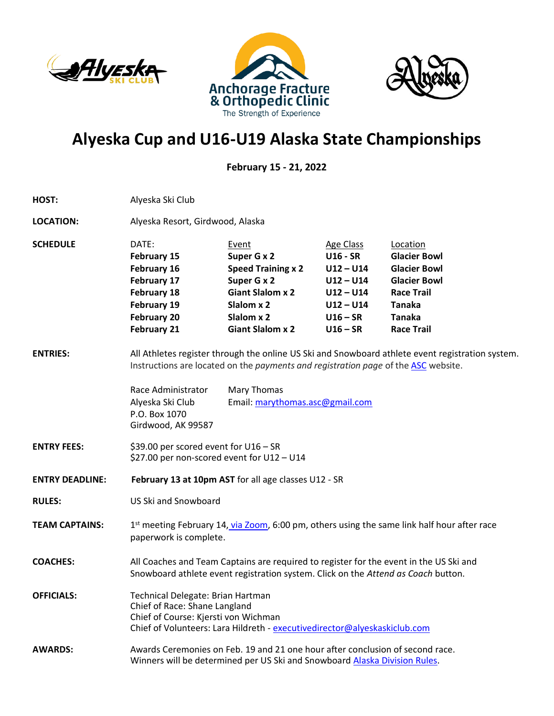





## **Alyeska Cup and U16-U19 Alaska State Championships**

**February 15 - 21, 2022**

| HOST:                  | Alyeska Ski Club                                                                                                                                                                        |                                                                                                                                                                                                                                          |                                                                                                                             |                                                                                                                                                           |
|------------------------|-----------------------------------------------------------------------------------------------------------------------------------------------------------------------------------------|------------------------------------------------------------------------------------------------------------------------------------------------------------------------------------------------------------------------------------------|-----------------------------------------------------------------------------------------------------------------------------|-----------------------------------------------------------------------------------------------------------------------------------------------------------|
| <b>LOCATION:</b>       | Alyeska Resort, Girdwood, Alaska                                                                                                                                                        |                                                                                                                                                                                                                                          |                                                                                                                             |                                                                                                                                                           |
| <b>SCHEDULE</b>        | DATE:<br><b>February 15</b><br>February 16<br>February 17<br>February 18<br>February 19<br><b>February 20</b><br><b>February 21</b>                                                     | Event<br>Super G x 2<br><b>Speed Training x 2</b><br>Super G x 2<br><b>Giant Slalom x 2</b><br>Slalom x 2<br>Slalom x 2<br><b>Giant Slalom x 2</b>                                                                                       | <b>Age Class</b><br><b>U16 - SR</b><br>$U12 - U14$<br>$U12 - U14$<br>$U12 - U14$<br>$U12 - U14$<br>$U16 - SR$<br>$U16 - SR$ | Location<br><b>Glacier Bowl</b><br><b>Glacier Bowl</b><br><b>Glacier Bowl</b><br><b>Race Trail</b><br><b>Tanaka</b><br><b>Tanaka</b><br><b>Race Trail</b> |
| <b>ENTRIES:</b>        | Race Administrator<br>Alyeska Ski Club<br>P.O. Box 1070<br>Girdwood, AK 99587                                                                                                           | All Athletes register through the online US Ski and Snowboard athlete event registration system.<br>Instructions are located on the payments and registration page of the ASC website.<br>Mary Thomas<br>Email: marythomas.asc@gmail.com |                                                                                                                             |                                                                                                                                                           |
| <b>ENTRY FEES:</b>     | \$39.00 per scored event for U16 - SR<br>\$27.00 per non-scored event for U12 - U14                                                                                                     |                                                                                                                                                                                                                                          |                                                                                                                             |                                                                                                                                                           |
| <b>ENTRY DEADLINE:</b> | February 13 at 10pm AST for all age classes U12 - SR                                                                                                                                    |                                                                                                                                                                                                                                          |                                                                                                                             |                                                                                                                                                           |
| <b>RULES:</b>          | US Ski and Snowboard                                                                                                                                                                    |                                                                                                                                                                                                                                          |                                                                                                                             |                                                                                                                                                           |
| <b>TEAM CAPTAINS:</b>  | 1st meeting February 14, via Zoom, 6:00 pm, others using the same link half hour after race<br>paperwork is complete.                                                                   |                                                                                                                                                                                                                                          |                                                                                                                             |                                                                                                                                                           |
| <b>COACHES:</b>        | All Coaches and Team Captains are required to register for the event in the US Ski and<br>Snowboard athlete event registration system. Click on the Attend as Coach button.             |                                                                                                                                                                                                                                          |                                                                                                                             |                                                                                                                                                           |
| <b>OFFICIALS:</b>      | Technical Delegate: Brian Hartman<br>Chief of Race: Shane Langland<br>Chief of Course: Kjersti von Wichman<br>Chief of Volunteers: Lara Hildreth - executivedirector@alyeskaskiclub.com |                                                                                                                                                                                                                                          |                                                                                                                             |                                                                                                                                                           |
| <b>AWARDS:</b>         | Awards Ceremonies on Feb. 19 and 21 one hour after conclusion of second race.<br>Winners will be determined per US Ski and Snowboard Alaska Division Rules.                             |                                                                                                                                                                                                                                          |                                                                                                                             |                                                                                                                                                           |